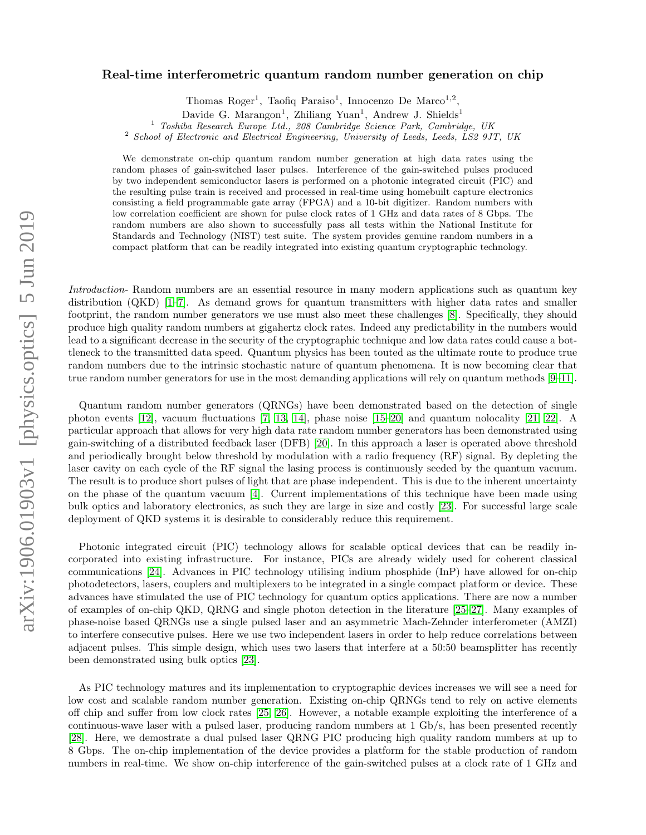## Real-time interferometric quantum random number generation on chip

Thomas Roger<sup>1</sup>, Taofiq Paraiso<sup>1</sup>, Innocenzo De Marco<sup>1,2</sup>,

Davide G. Marangon<sup>1</sup>, Zhiliang Yuan<sup>1</sup>, Andrew J. Shields<sup>1</sup>

<sup>1</sup> Toshiba Research Europe Ltd., 208 Cambridge Science Park, Cambridge, UK

<sup>2</sup> School of Electronic and Electrical Engineering, University of Leeds, Leeds, LS2 9JT, UK

We demonstrate on-chip quantum random number generation at high data rates using the random phases of gain-switched laser pulses. Interference of the gain-switched pulses produced by two independent semiconductor lasers is performed on a photonic integrated circuit (PIC) and the resulting pulse train is received and processed in real-time using homebuilt capture electronics consisting a field programmable gate array (FPGA) and a 10-bit digitizer. Random numbers with low correlation coefficient are shown for pulse clock rates of 1 GHz and data rates of 8 Gbps. The random numbers are also shown to successfully pass all tests within the National Institute for Standards and Technology (NIST) test suite. The system provides genuine random numbers in a compact platform that can be readily integrated into existing quantum cryptographic technology.

Introduction- Random numbers are an essential resource in many modern applications such as quantum key distribution (QKD) [\[1–](#page-5-0)[7\]](#page-5-1). As demand grows for quantum transmitters with higher data rates and smaller footprint, the random number generators we use must also meet these challenges [\[8\]](#page-5-2). Specifically, they should produce high quality random numbers at gigahertz clock rates. Indeed any predictability in the numbers would lead to a significant decrease in the security of the cryptographic technique and low data rates could cause a bottleneck to the transmitted data speed. Quantum physics has been touted as the ultimate route to produce true random numbers due to the intrinsic stochastic nature of quantum phenomena. It is now becoming clear that true random number generators for use in the most demanding applications will rely on quantum methods [\[9–](#page-5-3)[11\]](#page-5-4).

Quantum random number generators (QRNGs) have been demonstrated based on the detection of single photon events [\[12\]](#page-5-5), vacuum fluctuations [\[7,](#page-5-1) [13,](#page-5-6) [14\]](#page-5-7), phase noise [\[15](#page-5-8)[–20\]](#page-5-9) and quantum nolocality [\[21,](#page-5-10) [22\]](#page-5-11). A particular approach that allows for very high data rate random number generators has been demonstrated using gain-switching of a distributed feedback laser (DFB) [\[20\]](#page-5-9). In this approach a laser is operated above threshold and periodically brought below threshold by modulation with a radio frequency (RF) signal. By depleting the laser cavity on each cycle of the RF signal the lasing process is continuously seeded by the quantum vacuum. The result is to produce short pulses of light that are phase independent. This is due to the inherent uncertainty on the phase of the quantum vacuum [\[4\]](#page-5-12). Current implementations of this technique have been made using bulk optics and laboratory electronics, as such they are large in size and costly [\[23\]](#page-5-13). For successful large scale deployment of QKD systems it is desirable to considerably reduce this requirement.

Photonic integrated circuit (PIC) technology allows for scalable optical devices that can be readily incorporated into existing infrastructure. For instance, PICs are already widely used for coherent classical communications [\[24\]](#page-5-14). Advances in PIC technology utilising indium phosphide (InP) have allowed for on-chip photodetectors, lasers, couplers and multiplexers to be integrated in a single compact platform or device. These advances have stimulated the use of PIC technology for quantum optics applications. There are now a number of examples of on-chip QKD, QRNG and single photon detection in the literature [\[25–](#page-6-0)[27\]](#page-6-1). Many examples of phase-noise based QRNGs use a single pulsed laser and an asymmetric Mach-Zehnder interferometer (AMZI) to interfere consecutive pulses. Here we use two independent lasers in order to help reduce correlations between adjacent pulses. This simple design, which uses two lasers that interfere at a 50:50 beamsplitter has recently been demonstrated using bulk optics [\[23\]](#page-5-13).

As PIC technology matures and its implementation to cryptographic devices increases we will see a need for low cost and scalable random number generation. Existing on-chip QRNGs tend to rely on active elements off chip and suffer from low clock rates [\[25,](#page-6-0) [26\]](#page-6-2). However, a notable example exploiting the interference of a continuous-wave laser with a pulsed laser, producing random numbers at 1 Gb/s, has been presented recently [\[28\]](#page-6-3). Here, we demostrate a dual pulsed laser QRNG PIC producing high quality random numbers at up to 8 Gbps. The on-chip implementation of the device provides a platform for the stable production of random numbers in real-time. We show on-chip interference of the gain-switched pulses at a clock rate of 1 GHz and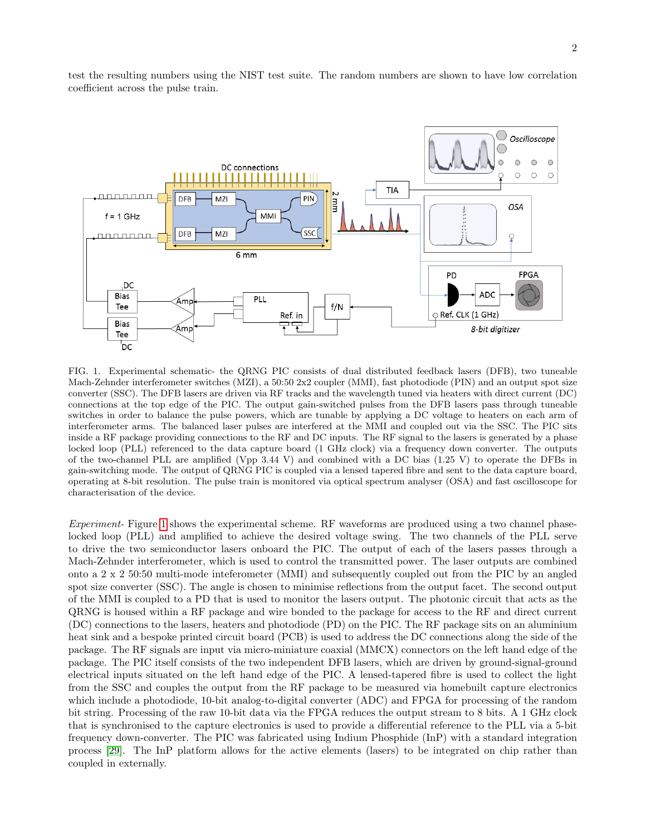

test the resulting numbers using the NIST test suite. The random numbers are shown to have low correlation coefficient across the pulse train.

<span id="page-1-0"></span>FIG. 1. Experimental schematic- the QRNG PIC consists of dual distributed feedback lasers (DFB), two tuneable Mach-Zehnder interferometer switches (MZI), a 50:50 2x2 coupler (MMI), fast photodiode (PIN) and an output spot size converter (SSC). The DFB lasers are driven via RF tracks and the wavelength tuned via heaters with direct current (DC) connections at the top edge of the PIC. The output gain-switched pulses from the DFB lasers pass through tuneable switches in order to balance the pulse powers, which are tunable by applying a DC voltage to heaters on each arm of interferometer arms. The balanced laser pulses are interfered at the MMI and coupled out via the SSC. The PIC sits inside a RF package providing connections to the RF and DC inputs. The RF signal to the lasers is generated by a phase locked loop (PLL) referenced to the data capture board (1 GHz clock) via a frequency down converter. The outputs of the two-channel PLL are amplified (Vpp  $3.44$  V) and combined with a DC bias (1.25 V) to operate the DFBs in gain-switching mode. The output of QRNG PIC is coupled via a lensed tapered fibre and sent to the data capture board, operating at 8-bit resolution. The pulse train is monitored via optical spectrum analyser (OSA) and fast oscilloscope for characterisation of the device.

Experiment- Figure [1](#page-1-0) shows the experimental scheme. RF waveforms are produced using a two channel phaselocked loop (PLL) and amplified to achieve the desired voltage swing. The two channels of the PLL serve to drive the two semiconductor lasers onboard the PIC. The output of each of the lasers passes through a Mach-Zehnder interferometer, which is used to control the transmitted power. The laser outputs are combined onto a 2 x 2 50:50 multi-mode inteferometer (MMI) and subsequently coupled out from the PIC by an angled spot size converter (SSC). The angle is chosen to minimise reflections from the output facet. The second output of the MMI is coupled to a PD that is used to monitor the lasers output. The photonic circuit that acts as the QRNG is housed within a RF package and wire bonded to the package for access to the RF and direct current (DC) connections to the lasers, heaters and photodiode (PD) on the PIC. The RF package sits on an aluminium heat sink and a bespoke printed circuit board (PCB) is used to address the DC connections along the side of the package. The RF signals are input via micro-miniature coaxial (MMCX) connectors on the left hand edge of the package. The PIC itself consists of the two independent DFB lasers, which are driven by ground-signal-ground electrical inputs situated on the left hand edge of the PIC. A lensed-tapered fibre is used to collect the light from the SSC and couples the output from the RF package to be measured via homebuilt capture electronics which include a photodiode, 10-bit analog-to-digital converter (ADC) and FPGA for processing of the random bit string. Processing of the raw 10-bit data via the FPGA reduces the output stream to 8 bits. A 1 GHz clock that is synchronised to the capture electronics is used to provide a differential reference to the PLL via a 5-bit frequency down-converter. The PIC was fabricated using Indium Phosphide (InP) with a standard integration process [\[29\]](#page-6-4). The InP platform allows for the active elements (lasers) to be integrated on chip rather than coupled in externally.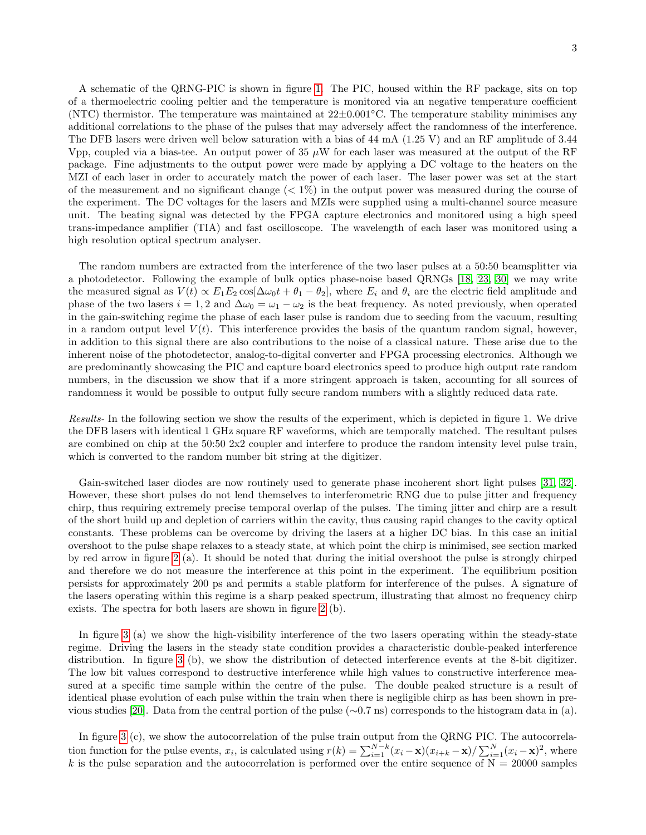A schematic of the QRNG-PIC is shown in figure [1.](#page-1-0) The PIC, housed within the RF package, sits on top of a thermoelectric cooling peltier and the temperature is monitored via an negative temperature coefficient (NTC) thermistor. The temperature was maintained at  $22\pm0.001^{\circ}\text{C}$ . The temperature stability minimises any additional correlations to the phase of the pulses that may adversely affect the randomness of the interference. The DFB lasers were driven well below saturation with a bias of 44 mA (1.25 V) and an RF amplitude of 3.44 Vpp, coupled via a bias-tee. An output power of 35  $\mu$ W for each laser was measured at the output of the RF package. Fine adjustments to the output power were made by applying a DC voltage to the heaters on the MZI of each laser in order to accurately match the power of each laser. The laser power was set at the start of the measurement and no significant change  $(< 1\%)$  in the output power was measured during the course of the experiment. The DC voltages for the lasers and MZIs were supplied using a multi-channel source measure unit. The beating signal was detected by the FPGA capture electronics and monitored using a high speed trans-impedance amplifier (TIA) and fast oscilloscope. The wavelength of each laser was monitored using a high resolution optical spectrum analyser.

The random numbers are extracted from the interference of the two laser pulses at a 50:50 beamsplitter via a photodetector. Following the example of bulk optics phase-noise based QRNGs [\[18,](#page-5-15) [23,](#page-5-13) [30\]](#page-6-5) we may write the measured signal as  $V(t) \propto E_1 E_2 \cos[\Delta\omega_0 t + \theta_1 - \theta_2]$ , where  $E_i$  and  $\theta_i$  are the electric field amplitude and phase of the two lasers  $i = 1, 2$  and  $\Delta \omega_0 = \omega_1 - \omega_2$  is the beat frequency. As noted previously, when operated in the gain-switching regime the phase of each laser pulse is random due to seeding from the vacuum, resulting in a random output level  $V(t)$ . This interference provides the basis of the quantum random signal, however, in addition to this signal there are also contributions to the noise of a classical nature. These arise due to the inherent noise of the photodetector, analog-to-digital converter and FPGA processing electronics. Although we are predominantly showcasing the PIC and capture board electronics speed to produce high output rate random numbers, in the discussion we show that if a more stringent approach is taken, accounting for all sources of randomness it would be possible to output fully secure random numbers with a slightly reduced data rate.

Results- In the following section we show the results of the experiment, which is depicted in figure 1. We drive the DFB lasers with identical 1 GHz square RF waveforms, which are temporally matched. The resultant pulses are combined on chip at the 50:50 2x2 coupler and interfere to produce the random intensity level pulse train, which is converted to the random number bit string at the digitizer.

Gain-switched laser diodes are now routinely used to generate phase incoherent short light pulses [\[31,](#page-6-6) [32\]](#page-6-7). However, these short pulses do not lend themselves to interferometric RNG due to pulse jitter and frequency chirp, thus requiring extremely precise temporal overlap of the pulses. The timing jitter and chirp are a result of the short build up and depletion of carriers within the cavity, thus causing rapid changes to the cavity optical constants. These problems can be overcome by driving the lasers at a higher DC bias. In this case an initial overshoot to the pulse shape relaxes to a steady state, at which point the chirp is minimised, see section marked by red arrow in figure [2](#page-3-0) (a). It should be noted that during the initial overshoot the pulse is strongly chirped and therefore we do not measure the interference at this point in the experiment. The equilibrium position persists for approximately 200 ps and permits a stable platform for interference of the pulses. A signature of the lasers operating within this regime is a sharp peaked spectrum, illustrating that almost no frequency chirp exists. The spectra for both lasers are shown in figure [2](#page-3-0) (b).

In figure [3](#page-3-1) (a) we show the high-visibility interference of the two lasers operating within the steady-state regime. Driving the lasers in the steady state condition provides a characteristic double-peaked interference distribution. In figure [3](#page-3-1) (b), we show the distribution of detected interference events at the 8-bit digitizer. The low bit values correspond to destructive interference while high values to constructive interference measured at a specific time sample within the centre of the pulse. The double peaked structure is a result of identical phase evolution of each pulse within the train when there is negligible chirp as has been shown in pre-vious studies [\[20\]](#page-5-9). Data from the central portion of the pulse ( $\sim 0.7$  ns) corresponds to the histogram data in (a).

In figure [3](#page-3-1) (c), we show the autocorrelation of the pulse train output from the QRNG PIC. The autocorrelation function for the pulse events,  $x_i$ , is calculated using  $r(k) = \sum_{i=1}^{N-k} (x_i - \mathbf{x})(x_{i+k} - \mathbf{x}) / \sum_{i=1}^{N} (x_i - \mathbf{x})^2$ , where k is the pulse separation and the autocorrelation is performed over the entire sequence of  $N = 20000$  samples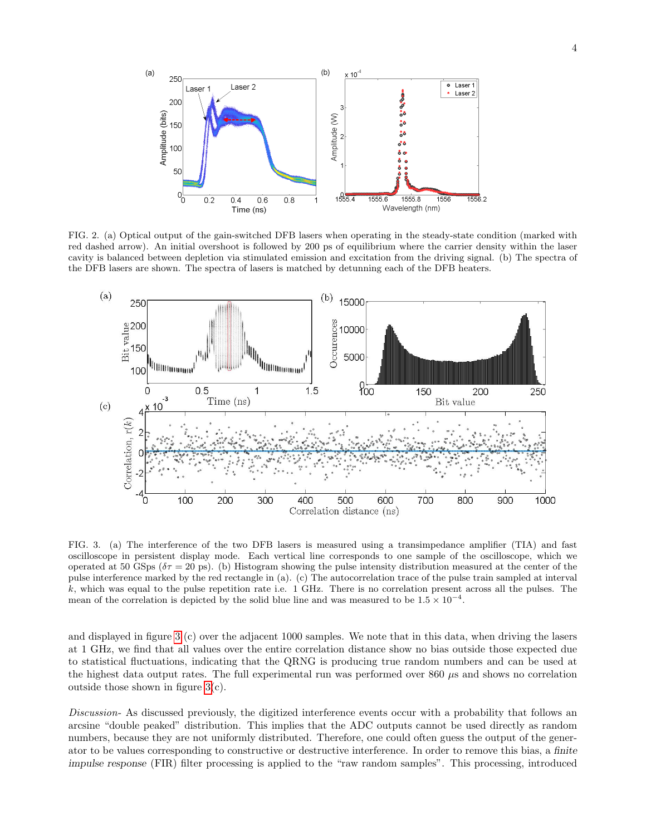

<span id="page-3-0"></span>FIG. 2. (a) Optical output of the gain-switched DFB lasers when operating in the steady-state condition (marked with red dashed arrow). An initial overshoot is followed by 200 ps of equilibrium where the carrier density within the laser cavity is balanced between depletion via stimulated emission and excitation from the driving signal. (b) The spectra of the DFB lasers are shown. The spectra of lasers is matched by detunning each of the DFB heaters.



<span id="page-3-1"></span>FIG. 3. (a) The interference of the two DFB lasers is measured using a transimpedance amplifier (TIA) and fast oscilloscope in persistent display mode. Each vertical line corresponds to one sample of the oscilloscope, which we operated at 50 GSps ( $\delta \tau = 20$  ps). (b) Histogram showing the pulse intensity distribution measured at the center of the pulse interference marked by the red rectangle in (a). (c) The autocorrelation trace of the pulse train sampled at interval  $k$ , which was equal to the pulse repetition rate i.e. 1 GHz. There is no correlation present across all the pulses. The mean of the correlation is depicted by the solid blue line and was measured to be  $1.5 \times 10^{-4}$ .

and displayed in figure [3](#page-3-1) (c) over the adjacent 1000 samples. We note that in this data, when driving the lasers at 1 GHz, we find that all values over the entire correlation distance show no bias outside those expected due to statistical fluctuations, indicating that the QRNG is producing true random numbers and can be used at the highest data output rates. The full experimental run was performed over  $860 \mu s$  and shows no correlation outside those shown in figure [3\(](#page-3-1)c).

Discussion- As discussed previously, the digitized interference events occur with a probability that follows an arcsine "double peaked" distribution. This implies that the ADC outputs cannot be used directly as random numbers, because they are not uniformly distributed. Therefore, one could often guess the output of the generator to be values corresponding to constructive or destructive interference. In order to remove this bias, a finite impulse response (FIR) filter processing is applied to the "raw random samples". This processing, introduced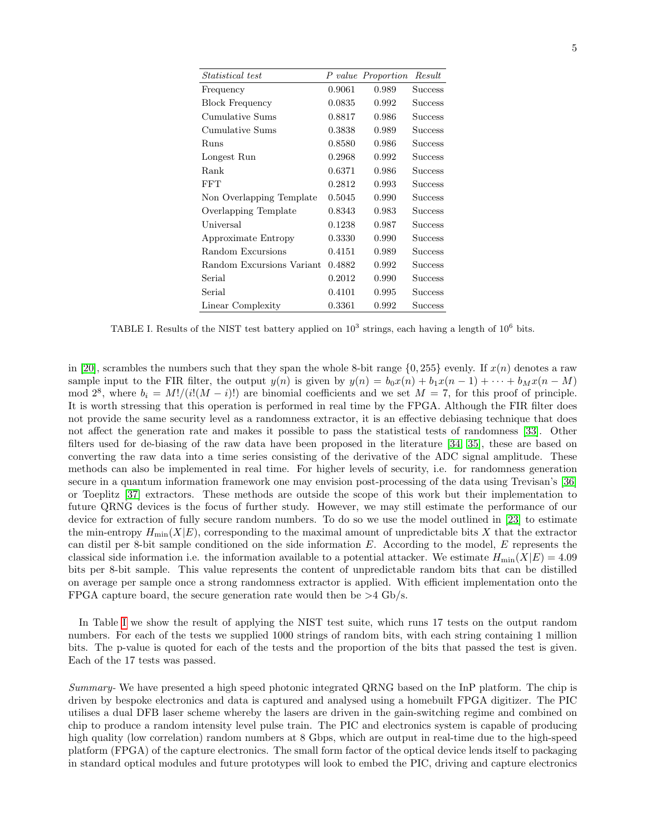| <i>Statistical test</i>   |        | P value Proportion | Result         |
|---------------------------|--------|--------------------|----------------|
| Frequency                 | 0.9061 | 0.989              | <b>Success</b> |
| <b>Block Frequency</b>    | 0.0835 | 0.992              | <b>Success</b> |
| Cumulative Sums           | 0.8817 | 0.986              | Success        |
| Cumulative Sums           | 0.3838 | 0.989              | <b>Success</b> |
| Runs                      | 0.8580 | 0.986              | <b>Success</b> |
| Longest Run               | 0.2968 | 0.992              | <b>Success</b> |
| Rank                      | 0.6371 | 0.986              | <b>Success</b> |
| <b>FFT</b>                | 0.2812 | 0.993              | <b>Success</b> |
| Non Overlapping Template  | 0.5045 | 0.990              | Success        |
| Overlapping Template      | 0.8343 | 0.983              | <b>Success</b> |
| Universal                 | 0.1238 | 0.987              | <b>Success</b> |
| Approximate Entropy       | 0.3330 | 0.990              | <b>Success</b> |
| Random Excursions         | 0.4151 | 0.989              | Success        |
| Random Excursions Variant | 0.4882 | 0.992              | Success        |
| Serial                    | 0.2012 | 0.990              | Success        |
| Serial                    | 0.4101 | 0.995              | Success        |
| Linear Complexity         | 0.3361 | 0.992              | <b>Success</b> |

<span id="page-4-0"></span>TABLE I. Results of the NIST test battery applied on  $10^3$  strings, each having a length of  $10^6$  bits.

in [\[20\]](#page-5-9), scrambles the numbers such that they span the whole 8-bit range  $\{0, 255\}$  evenly. If  $x(n)$  denotes a raw sample input to the FIR filter, the output  $y(n)$  is given by  $y(n) = b_0x(n) + b_1x(n-1) + \cdots + b_Mx(n-M)$ mod  $2^8$ , where  $b_i = M!/(i!(M-i)!)$  are binomial coefficients and we set  $M = 7$ , for this proof of principle. It is worth stressing that this operation is performed in real time by the FPGA. Although the FIR filter does not provide the same security level as a randomness extractor, it is an effective debiasing technique that does not affect the generation rate and makes it possible to pass the statistical tests of randomness [\[33\]](#page-6-8). Other filters used for de-biasing of the raw data have been proposed in the literature [\[34,](#page-6-9) [35\]](#page-6-10), these are based on converting the raw data into a time series consisting of the derivative of the ADC signal amplitude. These methods can also be implemented in real time. For higher levels of security, i.e. for randomness generation secure in a quantum information framework one may envision post-processing of the data using Trevisan's [\[36\]](#page-6-11) or Toeplitz [\[37\]](#page-6-12) extractors. These methods are outside the scope of this work but their implementation to future QRNG devices is the focus of further study. However, we may still estimate the performance of our device for extraction of fully secure random numbers. To do so we use the model outlined in [\[23\]](#page-5-13) to estimate the min-entropy  $H_{\text{min}}(X|E)$ , corresponding to the maximal amount of unpredictable bits X that the extractor can distil per 8-bit sample conditioned on the side information  $E$ . According to the model,  $E$  represents the classical side information i.e. the information available to a potential attacker. We estimate  $H_{\text{min}}(X|E) = 4.09$ bits per 8-bit sample. This value represents the content of unpredictable random bits that can be distilled on average per sample once a strong randomness extractor is applied. With efficient implementation onto the FPGA capture board, the secure generation rate would then be  $>4$  Gb/s.

In Table [I](#page-4-0) we show the result of applying the NIST test suite, which runs 17 tests on the output random numbers. For each of the tests we supplied 1000 strings of random bits, with each string containing 1 million bits. The p-value is quoted for each of the tests and the proportion of the bits that passed the test is given. Each of the 17 tests was passed.

Summary- We have presented a high speed photonic integrated QRNG based on the InP platform. The chip is driven by bespoke electronics and data is captured and analysed using a homebuilt FPGA digitizer. The PIC utilises a dual DFB laser scheme whereby the lasers are driven in the gain-switching regime and combined on chip to produce a random intensity level pulse train. The PIC and electronics system is capable of producing high quality (low correlation) random numbers at 8 Gbps, which are output in real-time due to the high-speed platform (FPGA) of the capture electronics. The small form factor of the optical device lends itself to packaging in standard optical modules and future prototypes will look to embed the PIC, driving and capture electronics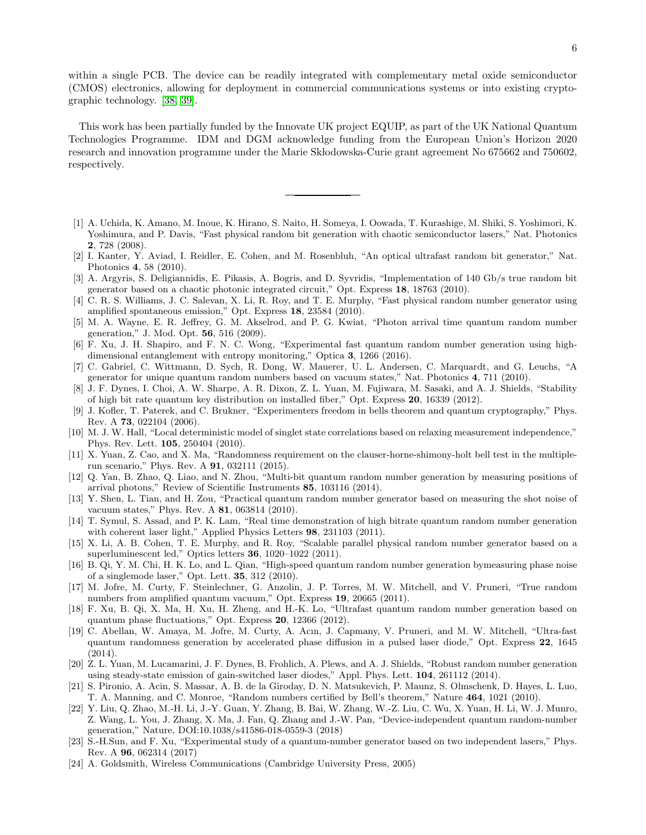within a single PCB. The device can be readily integrated with complementary metal oxide semiconductor (CMOS) electronics, allowing for deployment in commercial communications systems or into existing cryptographic technology. [\[38,](#page-6-13) [39\]](#page-6-14).

This work has been partially funded by the Innovate UK project EQUIP, as part of the UK National Quantum Technologies Programme. IDM and DGM acknowledge funding from the European Union's Horizon 2020 research and innovation programme under the Marie Sklodowska-Curie grant agreement No 675662 and 750602, respectively.

- <span id="page-5-0"></span>[1] A. Uchida, K. Amano, M. Inoue, K. Hirano, S. Naito, H. Someya, I. Oowada, T. Kurashige, M. Shiki, S. Yoshimori, K. Yoshimura, and P. Davis, "Fast physical random bit generation with chaotic semiconductor lasers," Nat. Photonics 2, 728 (2008).
- [2] I. Kanter, Y. Aviad, I. Reidler, E. Cohen, and M. Rosenbluh, "An optical ultrafast random bit generator," Nat. Photonics 4, 58 (2010).
- [3] A. Argyris, S. Deligiannidis, E. Pikasis, A. Bogris, and D. Syvridis, "Implementation of 140 Gb/s true random bit generator based on a chaotic photonic integrated circuit," Opt. Express 18, 18763 (2010).
- <span id="page-5-12"></span>[4] C. R. S. Williams, J. C. Salevan, X. Li, R. Roy, and T. E. Murphy, "Fast physical random number generator using amplified spontaneous emission," Opt. Express 18, 23584 (2010).
- [5] M. A. Wayne, E. R. Jeffrey, G. M. Akselrod, and P. G. Kwiat, "Photon arrival time quantum random number generation," J. Mod. Opt. 56, 516 (2009).
- [6] F. Xu, J. H. Shapiro, and F. N. C. Wong, "Experimental fast quantum random number generation using highdimensional entanglement with entropy monitoring," Optica 3, 1266 (2016).
- <span id="page-5-1"></span>[7] C. Gabriel, C. Wittmann, D. Sych, R. Dong, W. Mauerer, U. L. Andersen, C. Marquardt, and G. Leuchs, "A generator for unique quantum random numbers based on vacuum states," Nat. Photonics 4, 711 (2010).
- <span id="page-5-2"></span>[8] J. F. Dynes, I. Choi, A. W. Sharpe, A. R. Dixon, Z. L. Yuan, M. Fujiwara, M. Sasaki, and A. J. Shields, "Stability of high bit rate quantum key distribution on installed fiber," Opt. Express 20, 16339 (2012).
- <span id="page-5-3"></span>[9] J. Kofler, T. Paterek, and C. Brukner, "Experimenters freedom in bells theorem and quantum cryptography," Phys. Rev. A 73, 022104 (2006).
- [10] M. J. W. Hall, "Local deterministic model of singlet state correlations based on relaxing measurement independence," Phys. Rev. Lett. 105, 250404 (2010).
- <span id="page-5-4"></span>[11] X. Yuan, Z. Cao, and X. Ma, "Randomness requirement on the clauser-horne-shimony-holt bell test in the multiplerun scenario," Phys. Rev. A 91, 032111 (2015).
- <span id="page-5-5"></span>[12] Q. Yan, B. Zhao, Q. Liao, and N. Zhou, "Multi-bit quantum random number generation by measuring positions of arrival photons," Review of Scientific Instruments 85, 103116 (2014).
- <span id="page-5-6"></span>[13] Y. Shen, L. Tian, and H. Zou, "Practical quantum random number generator based on measuring the shot noise of vacuum states," Phys. Rev. A 81, 063814 (2010).
- <span id="page-5-7"></span>[14] T. Symul, S. Assad, and P. K. Lam, "Real time demonstration of high bitrate quantum random number generation with coherent laser light," Applied Physics Letters 98, 231103 (2011).
- <span id="page-5-8"></span>[15] X. Li, A. B. Cohen, T. E. Murphy, and R. Roy, "Scalable parallel physical random number generator based on a superluminescent led," Optics letters 36, 1020–1022 (2011).
- [16] B. Qi, Y. M. Chi, H. K. Lo, and L. Qian, "High-speed quantum random number generation bymeasuring phase noise of a singlemode laser," Opt. Lett. 35, 312 (2010).
- [17] M. Jofre, M. Curty, F. Steinlechner, G. Anzolin, J. P. Torres, M. W. Mitchell, and V. Pruneri, "True random numbers from amplified quantum vacuum," Opt. Express 19, 20665 (2011).
- <span id="page-5-15"></span>[18] F. Xu, B. Qi, X. Ma, H. Xu, H. Zheng, and H.-K. Lo, "Ultrafast quantum random number generation based on quantum phase fluctuations," Opt. Express 20, 12366 (2012).
- [19] C. Abellan, W. Amaya, M. Jofre, M. Curty, A. Acın, J. Capmany, V. Pruneri, and M. W. Mitchell, "Ultra-fast quantum randomness generation by accelerated phase diffusion in a pulsed laser diode," Opt. Express 22, 1645 (2014).
- <span id="page-5-9"></span>[20] Z. L. Yuan, M. Lucamarini, J. F. Dynes, B. Frohlich, A. Plews, and A. J. Shields, "Robust random number generation using steady-state emission of gain-switched laser diodes," Appl. Phys. Lett. 104, 261112 (2014).
- <span id="page-5-10"></span>[21] S. Pironio, A. Acin, S. Massar, A. B. de la Giroday, D. N. Matsukevich, P. Maunz, S. Olmschenk, D. Hayes, L. Luo, T. A. Manning, and C. Monroe, "Random numbers certified by Bell's theorem," Nature 464, 1021 (2010).
- <span id="page-5-11"></span>[22] Y. Liu, Q. Zhao, M.-H. Li, J.-Y. Guan, Y. Zhang, B. Bai, W. Zhang, W.-Z. Liu, C. Wu, X. Yuan, H. Li, W. J. Munro, Z. Wang, L. You, J. Zhang, X. Ma, J. Fan, Q. Zhang and J.-W. Pan, "Device-independent quantum random-number generation," Nature, DOI:10.1038/s41586-018-0559-3 (2018)
- <span id="page-5-13"></span>[23] S.-H.Sun, and F. Xu, "Experimental study of a quantum-number generator based on two independent lasers," Phys. Rev. A 96, 062314 (2017)
- <span id="page-5-14"></span>[24] A. Goldsmith, Wireless Communications (Cambridge University Press, 2005)